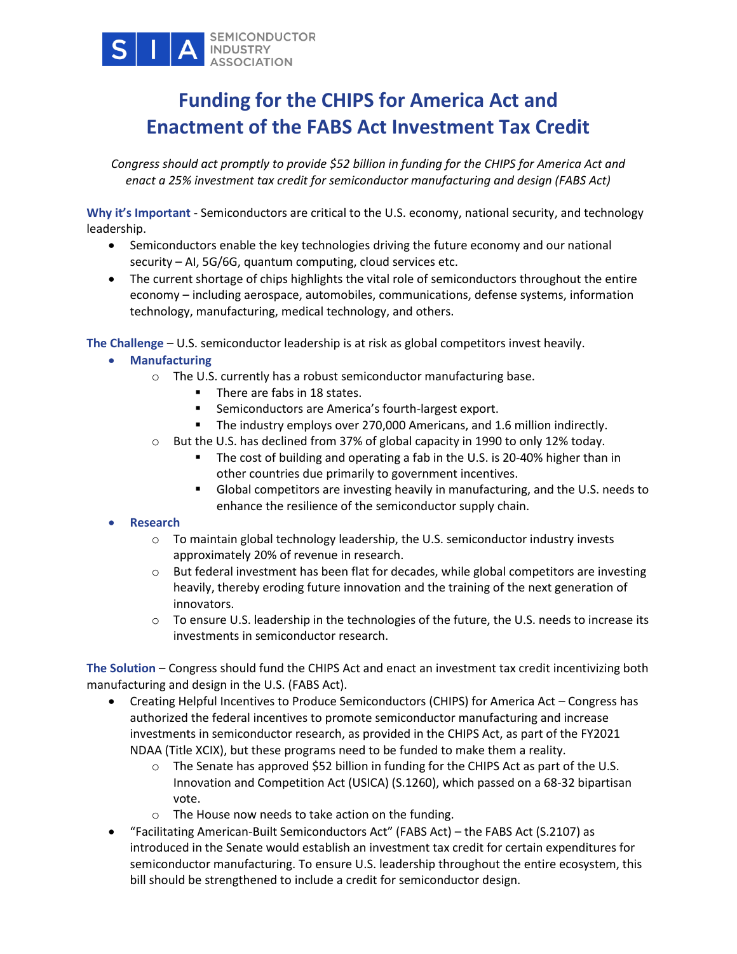

# **Funding for the CHIPS for America Act and Enactment of the FABS Act Investment Tax Credit**

*Congress should act promptly to provide \$52 billion in funding for the CHIPS for America Act and enact a 25% investment tax credit for semiconductor manufacturing and design (FABS Act)*

**Why it's Important** - Semiconductors are critical to the U.S. economy, national security, and technology leadership.

- Semiconductors enable the key technologies driving the future economy and our national security – AI, 5G/6G, quantum computing, cloud services etc.
- The current shortage of chips highlights the vital role of semiconductors throughout the entire economy – including aerospace, automobiles, communications, defense systems, information technology, manufacturing, medical technology, and others.

**The Challenge** – U.S. semiconductor leadership is at risk as global competitors invest heavily.

# • **Manufacturing**

- o The U.S. currently has a robust semiconductor manufacturing base.
	- There are fabs in 18 states.
	- Semiconductors are America's fourth-largest export.
	- The industry employs over 270,000 Americans, and 1.6 million indirectly.
- $\circ$  But the U.S. has declined from 37% of global capacity in 1990 to only 12% today.
	- The cost of building and operating a fab in the U.S. is 20-40% higher than in other countries due primarily to government incentives.
	- Global competitors are investing heavily in manufacturing, and the U.S. needs to enhance the resilience of the semiconductor supply chain.

# • **Research**

- $\circ$  To maintain global technology leadership, the U.S. semiconductor industry invests approximately 20% of revenue in research.
- $\circ$  But federal investment has been flat for decades, while global competitors are investing heavily, thereby eroding future innovation and the training of the next generation of innovators.
- $\circ$  To ensure U.S. leadership in the technologies of the future, the U.S. needs to increase its investments in semiconductor research.

**The Solution** – Congress should fund the CHIPS Act and enact an investment tax credit incentivizing both manufacturing and design in the U.S. (FABS Act).

- Creating Helpful Incentives to Produce Semiconductors (CHIPS) for America Act Congress has authorized the federal incentives to promote semiconductor manufacturing and increase investments in semiconductor research, as provided in the CHIPS Act, as part of the FY2021 NDAA (Title XCIX), but these programs need to be funded to make them a reality.
	- $\circ$  The Senate has approved \$52 billion in funding for the CHIPS Act as part of the U.S. Innovation and Competition Act (USICA) (S.1260), which passed on a 68-32 bipartisan vote.
	- o The House now needs to take action on the funding.
- "Facilitating American-Built Semiconductors Act" (FABS Act) the FABS Act (S.2107) as introduced in the Senate would establish an investment tax credit for certain expenditures for semiconductor manufacturing. To ensure U.S. leadership throughout the entire ecosystem, this bill should be strengthened to include a credit for semiconductor design.